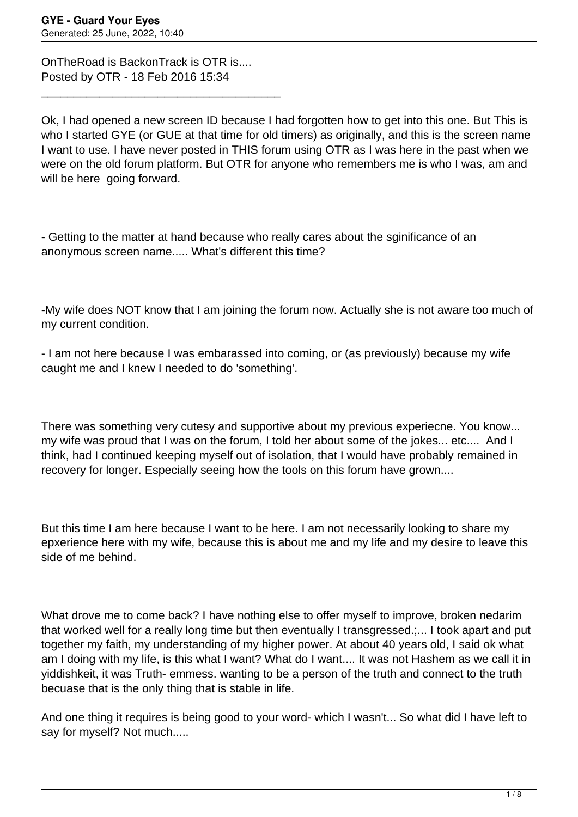OnTheRoad is BackonTrack is OTR is.... Posted by OTR - 18 Feb 2016 15:34

\_\_\_\_\_\_\_\_\_\_\_\_\_\_\_\_\_\_\_\_\_\_\_\_\_\_\_\_\_\_\_\_\_\_\_\_\_

Ok, I had opened a new screen ID because I had forgotten how to get into this one. But This is who I started GYE (or GUE at that time for old timers) as originally, and this is the screen name I want to use. I have never posted in THIS forum using OTR as I was here in the past when we were on the old forum platform. But OTR for anyone who remembers me is who I was, am and will be here going forward.

- Getting to the matter at hand because who really cares about the sginificance of an anonymous screen name..... What's different this time?

-My wife does NOT know that I am joining the forum now. Actually she is not aware too much of my current condition.

- I am not here because I was embarassed into coming, or (as previously) because my wife caught me and I knew I needed to do 'something'.

There was something very cutesy and supportive about my previous experiecne. You know... my wife was proud that I was on the forum, I told her about some of the jokes... etc.... And I think, had I continued keeping myself out of isolation, that I would have probably remained in recovery for longer. Especially seeing how the tools on this forum have grown....

But this time I am here because I want to be here. I am not necessarily looking to share my epxerience here with my wife, because this is about me and my life and my desire to leave this side of me behind.

What drove me to come back? I have nothing else to offer myself to improve, broken nedarim that worked well for a really long time but then eventually I transgressed.;... I took apart and put together my faith, my understanding of my higher power. At about 40 years old, I said ok what am I doing with my life, is this what I want? What do I want.... It was not Hashem as we call it in yiddishkeit, it was Truth- emmess. wanting to be a person of the truth and connect to the truth becuase that is the only thing that is stable in life.

And one thing it requires is being good to your word- which I wasn't... So what did I have left to say for myself? Not much.....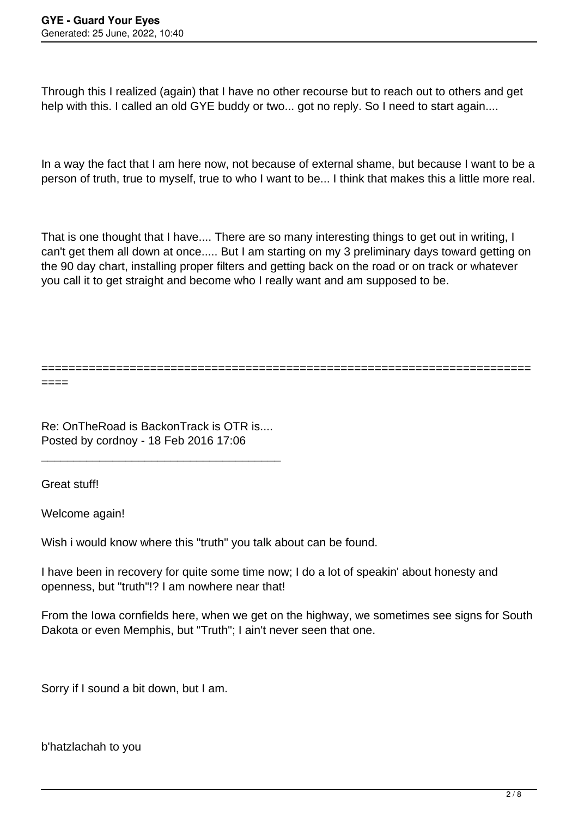Through this I realized (again) that I have no other recourse but to reach out to others and get help with this. I called an old GYE buddy or two... got no reply. So I need to start again....

In a way the fact that I am here now, not because of external shame, but because I want to be a person of truth, true to myself, true to who I want to be... I think that makes this a little more real.

That is one thought that I have.... There are so many interesting things to get out in writing, I can't get them all down at once..... But I am starting on my 3 preliminary days toward getting on the 90 day chart, installing proper filters and getting back on the road or on track or whatever you call it to get straight and become who I really want and am supposed to be.

========================================================================

====

Re: OnTheRoad is BackonTrack is OTR is.... Posted by cordnoy - 18 Feb 2016 17:06

\_\_\_\_\_\_\_\_\_\_\_\_\_\_\_\_\_\_\_\_\_\_\_\_\_\_\_\_\_\_\_\_\_\_\_\_\_

Great stuff!

Welcome again!

Wish i would know where this "truth" you talk about can be found.

I have been in recovery for quite some time now; I do a lot of speakin' about honesty and openness, but "truth"!? I am nowhere near that!

From the Iowa cornfields here, when we get on the highway, we sometimes see signs for South Dakota or even Memphis, but "Truth"; I ain't never seen that one.

Sorry if I sound a bit down, but I am.

b'hatzlachah to you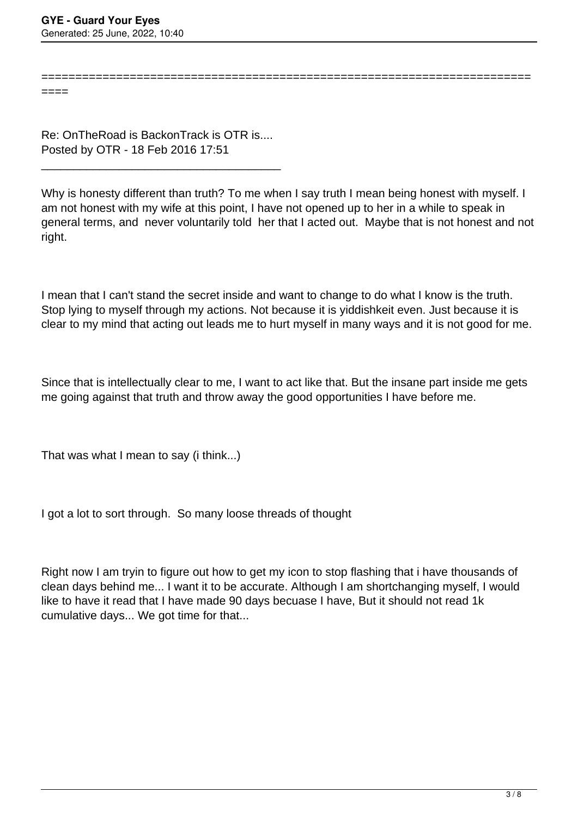====

Re: OnTheRoad is BackonTrack is OTR is.... Posted by OTR - 18 Feb 2016 17:51

\_\_\_\_\_\_\_\_\_\_\_\_\_\_\_\_\_\_\_\_\_\_\_\_\_\_\_\_\_\_\_\_\_\_\_\_\_

Why is honesty different than truth? To me when I say truth I mean being honest with myself. I am not honest with my wife at this point, I have not opened up to her in a while to speak in general terms, and never voluntarily told her that I acted out. Maybe that is not honest and not right.

========================================================================

I mean that I can't stand the secret inside and want to change to do what I know is the truth. Stop lying to myself through my actions. Not because it is yiddishkeit even. Just because it is clear to my mind that acting out leads me to hurt myself in many ways and it is not good for me.

Since that is intellectually clear to me, I want to act like that. But the insane part inside me gets me going against that truth and throw away the good opportunities I have before me.

That was what I mean to say (i think...)

I got a lot to sort through. So many loose threads of thought

Right now I am tryin to figure out how to get my icon to stop flashing that i have thousands of clean days behind me... I want it to be accurate. Although I am shortchanging myself, I would like to have it read that I have made 90 days becuase I have, But it should not read 1k cumulative days... We got time for that...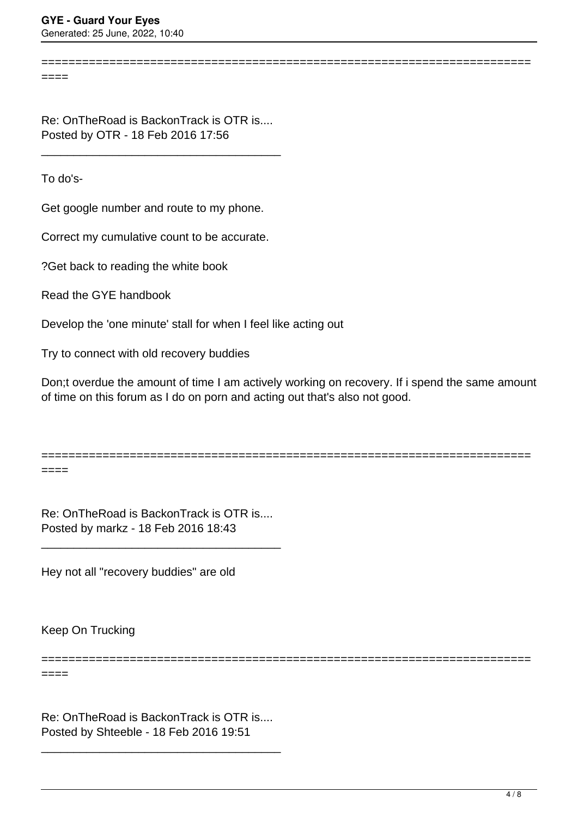$=$ 

Re: OnTheRoad is BackonTrack is OTR is.... Posted by OTR - 18 Feb 2016 17:56

\_\_\_\_\_\_\_\_\_\_\_\_\_\_\_\_\_\_\_\_\_\_\_\_\_\_\_\_\_\_\_\_\_\_\_\_\_

To do's-

 $====$ 

====

Get google number and route to my phone.

Correct my cumulative count to be accurate.

?Get back to reading the white book

Read the GYE handbook

Develop the 'one minute' stall for when I feel like acting out

Try to connect with old recovery buddies

Don;t overdue the amount of time I am actively working on recovery. If i spend the same amount of time on this forum as I do on porn and acting out that's also not good.

========================================================================

========================================================================

Re: OnTheRoad is BackonTrack is OTR is.... Posted by markz - 18 Feb 2016 18:43

\_\_\_\_\_\_\_\_\_\_\_\_\_\_\_\_\_\_\_\_\_\_\_\_\_\_\_\_\_\_\_\_\_\_\_\_\_

Hey not all "recovery buddies" are old

Keep On Trucking

========================================================================

Re: OnTheRoad is BackonTrack is OTR is.... Posted by Shteeble - 18 Feb 2016 19:51

\_\_\_\_\_\_\_\_\_\_\_\_\_\_\_\_\_\_\_\_\_\_\_\_\_\_\_\_\_\_\_\_\_\_\_\_\_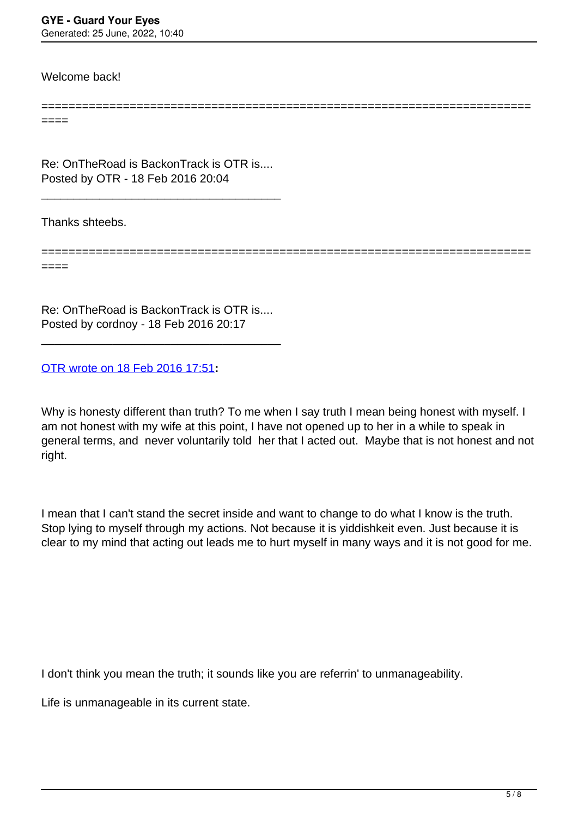Welcome back!

====

Re: OnTheRoad is BackonTrack is OTR is.... Posted by OTR - 18 Feb 2016 20:04

\_\_\_\_\_\_\_\_\_\_\_\_\_\_\_\_\_\_\_\_\_\_\_\_\_\_\_\_\_\_\_\_\_\_\_\_\_

Thanks shteebs.

======================================================================== ====

========================================================================

Re: OnTheRoad is BackonTrack is OTR is.... Posted by cordnoy - 18 Feb 2016 20:17

\_\_\_\_\_\_\_\_\_\_\_\_\_\_\_\_\_\_\_\_\_\_\_\_\_\_\_\_\_\_\_\_\_\_\_\_\_

[OTR wrote on 18 Feb 2016 17:51](/forum/id-278344)**:**

Why is honesty different than truth? To me when I say truth I mean being honest with myself. I am not honest with my wife at this point, I have not opened up to her in a while to speak in general terms, and never voluntarily told her that I acted out. Maybe that is not honest and not right.

I mean that I can't stand the secret inside and want to change to do what I know is the truth. Stop lying to myself through my actions. Not because it is yiddishkeit even. Just because it is clear to my mind that acting out leads me to hurt myself in many ways and it is not good for me.

I don't think you mean the truth; it sounds like you are referrin' to unmanageability.

Life is unmanageable in its current state.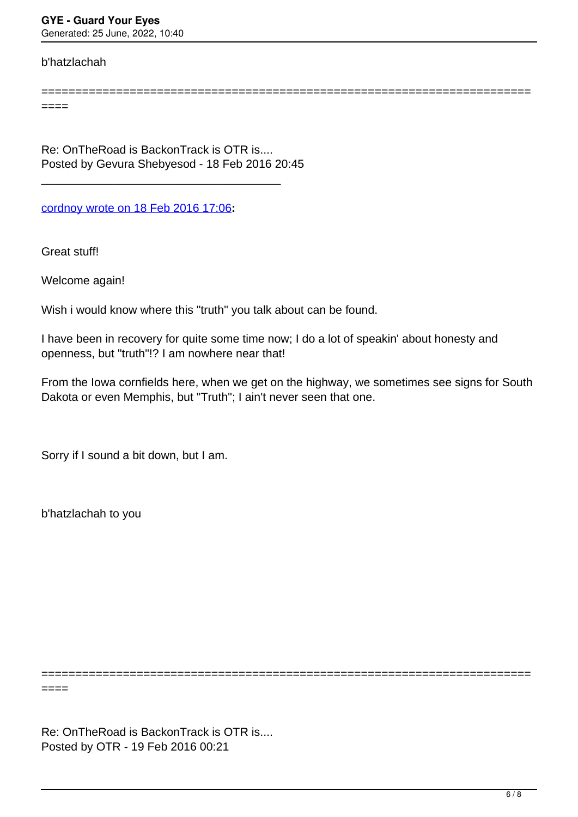## b'hatzlachah

========================================================================

====

Re: OnTheRoad is BackonTrack is OTR is.... Posted by Gevura Shebyesod - 18 Feb 2016 20:45

\_\_\_\_\_\_\_\_\_\_\_\_\_\_\_\_\_\_\_\_\_\_\_\_\_\_\_\_\_\_\_\_\_\_\_\_\_

[cordnoy wrote on 18 Feb 2016 17:06](/forum/id-278335)**:**

Great stuff!

Welcome again!

Wish i would know where this "truth" you talk about can be found.

I have been in recovery for quite some time now; I do a lot of speakin' about honesty and openness, but "truth"!? I am nowhere near that!

From the Iowa cornfields here, when we get on the highway, we sometimes see signs for South Dakota or even Memphis, but "Truth"; I ain't never seen that one.

========================================================================

Sorry if I sound a bit down, but I am.

b'hatzlachah to you

====

Re: OnTheRoad is BackonTrack is OTR is.... Posted by OTR - 19 Feb 2016 00:21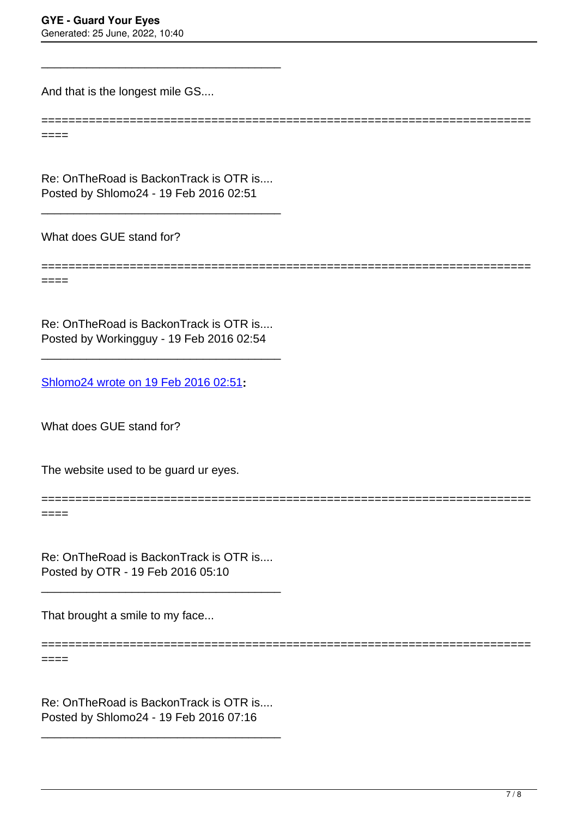And that is the longest mile GS....

 $----$ 

Re: OnTheRoad is BackonTrack is OTR is.... Posted by Shlomo24 - 19 Feb 2016 02:51

\_\_\_\_\_\_\_\_\_\_\_\_\_\_\_\_\_\_\_\_\_\_\_\_\_\_\_\_\_\_\_\_\_\_\_\_\_

\_\_\_\_\_\_\_\_\_\_\_\_\_\_\_\_\_\_\_\_\_\_\_\_\_\_\_\_\_\_\_\_\_\_\_\_\_

What does GUE stand for?

======================================================================== ====

========================================================================

========================================================================

Re: OnTheRoad is BackonTrack is OTR is.... Posted by Workingguy - 19 Feb 2016 02:54

\_\_\_\_\_\_\_\_\_\_\_\_\_\_\_\_\_\_\_\_\_\_\_\_\_\_\_\_\_\_\_\_\_\_\_\_\_

[Shlomo24 wrote on 19 Feb 2016 02:51](/forum/id-278401)**:**

What does GUE stand for?

The website used to be guard ur eyes.

 $====$ 

Re: OnTheRoad is BackonTrack is OTR is.... Posted by OTR - 19 Feb 2016 05:10

\_\_\_\_\_\_\_\_\_\_\_\_\_\_\_\_\_\_\_\_\_\_\_\_\_\_\_\_\_\_\_\_\_\_\_\_\_

That brought a smile to my face...

====================

 $====$ 

Re: OnTheRoad is BackonTrack is OTR is.... Posted by Shlomo24 - 19 Feb 2016 07:16

\_\_\_\_\_\_\_\_\_\_\_\_\_\_\_\_\_\_\_\_\_\_\_\_\_\_\_\_\_\_\_\_\_\_\_\_\_